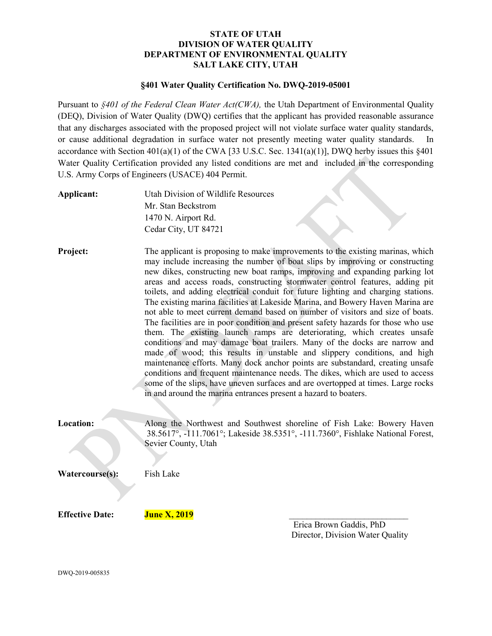#### STATE OF UTAH DIVISION OF WATER QUALITY DEPARTMENT OF ENVIRONMENTAL QUALITY SALT LAKE CITY, UTAH

#### §401 Water Quality Certification No. DWQ-2019-05001

Pursuant to §401 of the Federal Clean Water Act(CWA), the Utah Department of Environmental Quality (DEQ), Division of Water Quality (DWQ) certifies that the applicant has provided reasonable assurance that any discharges associated with the proposed project will not violate surface water quality standards, or cause additional degradation in surface water not presently meeting water quality standards. In accordance with Section  $401(a)(1)$  of the CWA [33 U.S.C. Sec. 1341(a)(1)], DWQ herby issues this §401 Water Quality Certification provided any listed conditions are met and included in the corresponding U.S. Army Corps of Engineers (USACE) 404 Permit.

| Applicant:             | Utah Division of Wildlife Resources<br>Mr. Stan Beckstrom<br>1470 N. Airport Rd.<br>Cedar City, UT 84721                                                                                                                                                                                                                                                                                                                                                                                                                                                                                                                                                                                                                                                                                                                                                                                                                                                                                                                                                                                                                                                                                                                                  |                                                             |
|------------------------|-------------------------------------------------------------------------------------------------------------------------------------------------------------------------------------------------------------------------------------------------------------------------------------------------------------------------------------------------------------------------------------------------------------------------------------------------------------------------------------------------------------------------------------------------------------------------------------------------------------------------------------------------------------------------------------------------------------------------------------------------------------------------------------------------------------------------------------------------------------------------------------------------------------------------------------------------------------------------------------------------------------------------------------------------------------------------------------------------------------------------------------------------------------------------------------------------------------------------------------------|-------------------------------------------------------------|
| Project:               | The applicant is proposing to make improvements to the existing marinas, which<br>may include increasing the number of boat slips by improving or constructing<br>new dikes, constructing new boat ramps, improving and expanding parking lot<br>areas and access roads, constructing stormwater control features, adding pit<br>toilets, and adding electrical conduit for future lighting and charging stations.<br>The existing marina facilities at Lakeside Marina, and Bowery Haven Marina are<br>not able to meet current demand based on number of visitors and size of boats.<br>The facilities are in poor condition and present safety hazards for those who use<br>them. The existing launch ramps are deteriorating, which creates unsafe<br>conditions and may damage boat trailers. Many of the docks are narrow and<br>made of wood; this results in unstable and slippery conditions, and high<br>maintenance efforts. Many dock anchor points are substandard, creating unsafe<br>conditions and frequent maintenance needs. The dikes, which are used to access<br>some of the slips, have uneven surfaces and are overtopped at times. Large rocks<br>in and around the marina entrances present a hazard to boaters. |                                                             |
| <b>Location:</b>       | Along the Northwest and Southwest shoreline of Fish Lake: Bowery Haven<br>38.5617°, -111.7061°; Lakeside 38.5351°, -111.7360°, Fishlake National Forest,<br>Sevier County, Utah                                                                                                                                                                                                                                                                                                                                                                                                                                                                                                                                                                                                                                                                                                                                                                                                                                                                                                                                                                                                                                                           |                                                             |
| Watercourse(s):        | Fish Lake                                                                                                                                                                                                                                                                                                                                                                                                                                                                                                                                                                                                                                                                                                                                                                                                                                                                                                                                                                                                                                                                                                                                                                                                                                 |                                                             |
| <b>Effective Date:</b> | <b>June X, 2019</b>                                                                                                                                                                                                                                                                                                                                                                                                                                                                                                                                                                                                                                                                                                                                                                                                                                                                                                                                                                                                                                                                                                                                                                                                                       | Erica Brown Gaddis, PhD<br>Director, Division Water Quality |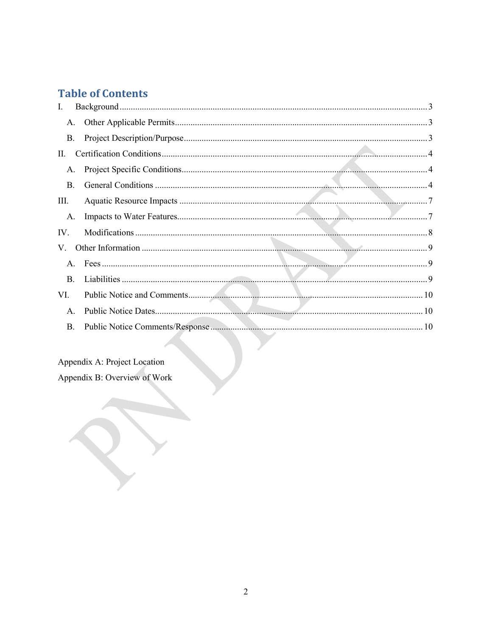# **Table of Contents**

| I.             |  |
|----------------|--|
| Α.             |  |
| B.             |  |
| П.             |  |
| A.             |  |
| <b>B.</b>      |  |
| Ш.             |  |
| А.             |  |
| IV.            |  |
| V.             |  |
| $\mathsf{A}$ . |  |
| $\mathbf{B}$ . |  |
| VI.            |  |
| A.             |  |
| <b>B.</b>      |  |
|                |  |

# Appendix A: Project Location

Appendix B: Overview of Work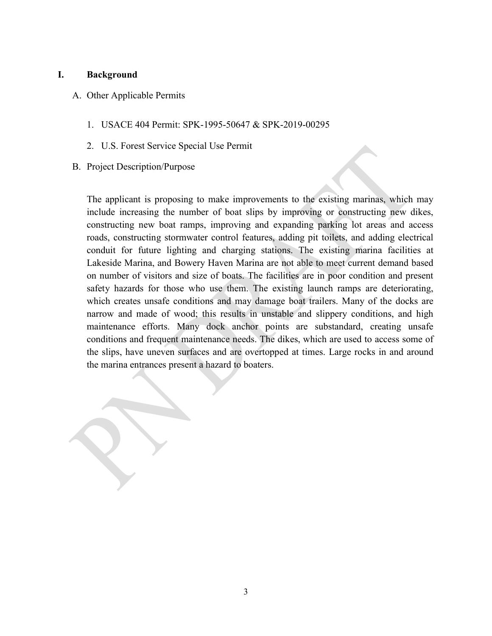#### I. Background

- A. Other Applicable Permits
	- 1. USACE 404 Permit: SPK-1995-50647 & SPK-2019-00295
	- 2. U.S. Forest Service Special Use Permit
- B. Project Description/Purpose

The applicant is proposing to make improvements to the existing marinas, which may include increasing the number of boat slips by improving or constructing new dikes, constructing new boat ramps, improving and expanding parking lot areas and access roads, constructing stormwater control features, adding pit toilets, and adding electrical conduit for future lighting and charging stations. The existing marina facilities at Lakeside Marina, and Bowery Haven Marina are not able to meet current demand based on number of visitors and size of boats. The facilities are in poor condition and present safety hazards for those who use them. The existing launch ramps are deteriorating, which creates unsafe conditions and may damage boat trailers. Many of the docks are narrow and made of wood; this results in unstable and slippery conditions, and high maintenance efforts. Many dock anchor points are substandard, creating unsafe conditions and frequent maintenance needs. The dikes, which are used to access some of the slips, have uneven surfaces and are overtopped at times. Large rocks in and around the marina entrances present a hazard to boaters.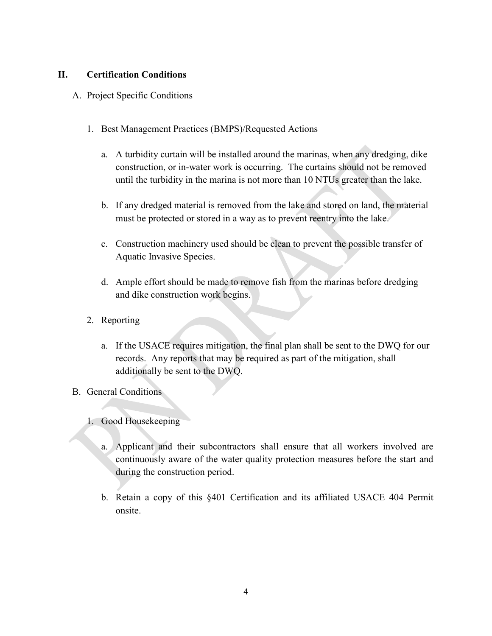#### II. Certification Conditions

- A. Project Specific Conditions
	- 1. Best Management Practices (BMPS)/Requested Actions
		- a. A turbidity curtain will be installed around the marinas, when any dredging, dike construction, or in-water work is occurring. The curtains should not be removed until the turbidity in the marina is not more than 10 NTUs greater than the lake.
		- b. If any dredged material is removed from the lake and stored on land, the material must be protected or stored in a way as to prevent reentry into the lake.
		- c. Construction machinery used should be clean to prevent the possible transfer of Aquatic Invasive Species.
		- d. Ample effort should be made to remove fish from the marinas before dredging and dike construction work begins.
	- 2. Reporting
		- a. If the USACE requires mitigation, the final plan shall be sent to the DWQ for our records. Any reports that may be required as part of the mitigation, shall additionally be sent to the DWQ.
- B. General Conditions
	- 1. Good Housekeeping
		- a. Applicant and their subcontractors shall ensure that all workers involved are continuously aware of the water quality protection measures before the start and during the construction period.
		- b. Retain a copy of this §401 Certification and its affiliated USACE 404 Permit onsite.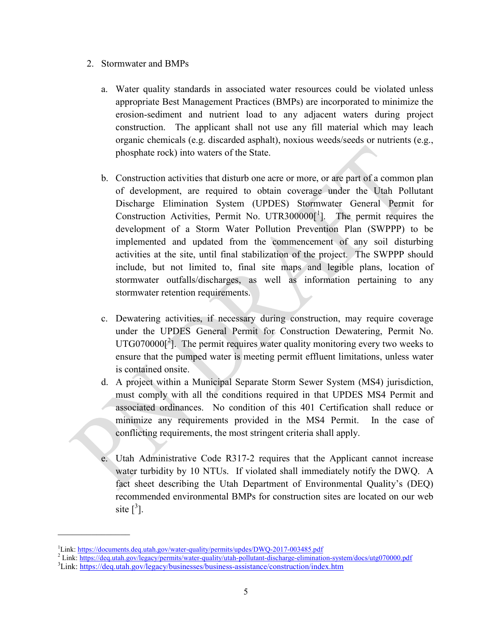- 2. Stormwater and BMPs
	- a. Water quality standards in associated water resources could be violated unless appropriate Best Management Practices (BMPs) are incorporated to minimize the erosion-sediment and nutrient load to any adjacent waters during project construction. The applicant shall not use any fill material which may leach organic chemicals (e.g. discarded asphalt), noxious weeds/seeds or nutrients (e.g., phosphate rock) into waters of the State.
	- b. Construction activities that disturb one acre or more, or are part of a common plan of development, are required to obtain coverage under the Utah Pollutant Discharge Elimination System (UPDES) Stormwater General Permit for Construction Activities, Permit No. UTR300000 $\left[ \begin{array}{cc} 1 \end{array} \right]$ . The permit requires the development of a Storm Water Pollution Prevention Plan (SWPPP) to be implemented and updated from the commencement of any soil disturbing activities at the site, until final stabilization of the project. The SWPPP should include, but not limited to, final site maps and legible plans, location of stormwater outfalls/discharges, as well as information pertaining to any stormwater retention requirements.
	- c. Dewatering activities, if necessary during construction, may require coverage under the UPDES General Permit for Construction Dewatering, Permit No.  $UTG070000[^2]$ . The permit requires water quality monitoring every two weeks to ensure that the pumped water is meeting permit effluent limitations, unless water is contained onsite.
	- d. A project within a Municipal Separate Storm Sewer System (MS4) jurisdiction, must comply with all the conditions required in that UPDES MS4 Permit and associated ordinances. No condition of this 401 Certification shall reduce or minimize any requirements provided in the MS4 Permit. In the case of conflicting requirements, the most stringent criteria shall apply.
	- e. Utah Administrative Code R317-2 requires that the Applicant cannot increase water turbidity by 10 NTUs. If violated shall immediately notify the DWQ. A fact sheet describing the Utah Department of Environmental Quality's (DEQ) recommended environmental BMPs for construction sites are located on our web site  $\left[\begin{matrix}3\end{matrix}\right]$ .

<sup>&</sup>lt;sup>1</sup>Link: https://documents.deq.utah.gov/water-quality/permits/updes/DWQ-2017-003485.pdf

<sup>&</sup>lt;sup>2</sup> Link: https://deq.utah.gov/legacy/permits/water-quality/utah-pollutant-discharge-elimination-system/docs/utg070000.pdf

<sup>&</sup>lt;sup>3</sup>Link: https://deq.utah.gov/legacy/businesses/business-assistance/construction/index.htm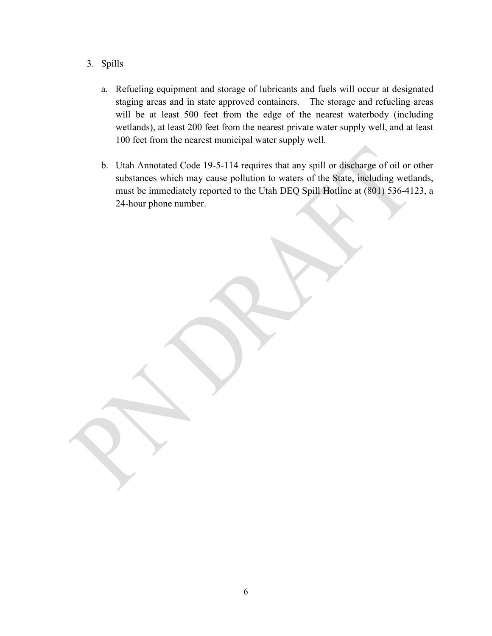- 3. Spills
	- a. Refueling equipment and storage of lubricants and fuels will occur at designated staging areas and in state approved containers. The storage and refueling areas will be at least 500 feet from the edge of the nearest waterbody (including wetlands), at least 200 feet from the nearest private water supply well, and at least 100 feet from the nearest municipal water supply well.
	- b. Utah Annotated Code 19-5-114 requires that any spill or discharge of oil or other substances which may cause pollution to waters of the State, including wetlands, must be immediately reported to the Utah DEQ Spill Hotline at (801) 536-4123, a 24-hour phone number.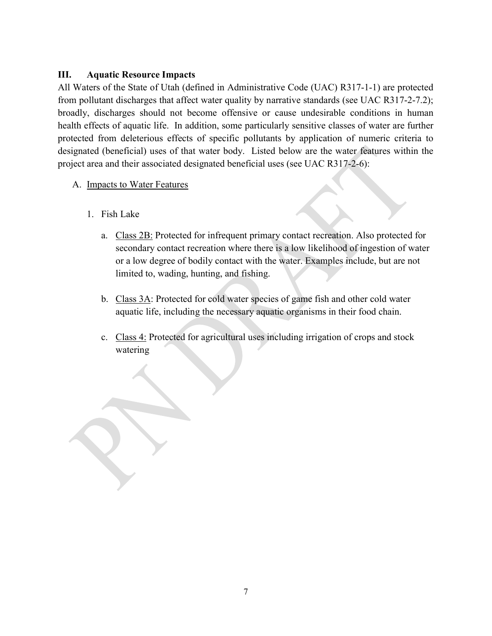#### III. Aquatic Resource Impacts

All Waters of the State of Utah (defined in Administrative Code (UAC) R317-1-1) are protected from pollutant discharges that affect water quality by narrative standards (see UAC R317-2-7.2); broadly, discharges should not become offensive or cause undesirable conditions in human health effects of aquatic life. In addition, some particularly sensitive classes of water are further protected from deleterious effects of specific pollutants by application of numeric criteria to designated (beneficial) uses of that water body. Listed below are the water features within the project area and their associated designated beneficial uses (see UAC R317-2-6):

- A. Impacts to Water Features
	- 1. Fish Lake
		- a. Class 2B: Protected for infrequent primary contact recreation. Also protected for secondary contact recreation where there is a low likelihood of ingestion of water or a low degree of bodily contact with the water. Examples include, but are not limited to, wading, hunting, and fishing.
		- b. Class 3A: Protected for cold water species of game fish and other cold water aquatic life, including the necessary aquatic organisms in their food chain.
		- c. Class 4: Protected for agricultural uses including irrigation of crops and stock watering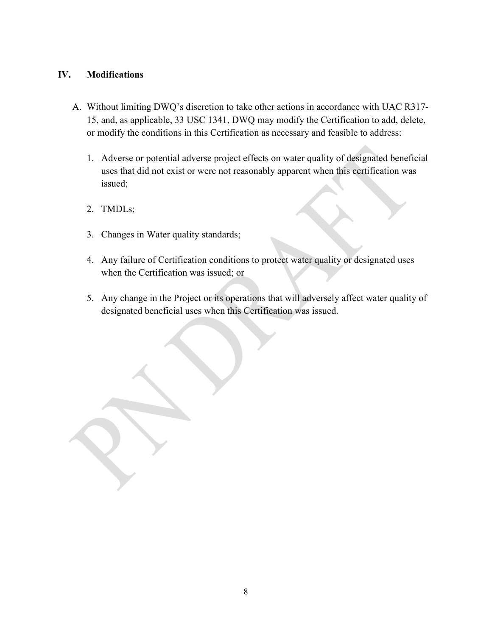### IV. Modifications

- A. Without limiting DWQ's discretion to take other actions in accordance with UAC R317- 15, and, as applicable, 33 USC 1341, DWQ may modify the Certification to add, delete, or modify the conditions in this Certification as necessary and feasible to address:
	- 1. Adverse or potential adverse project effects on water quality of designated beneficial uses that did not exist or were not reasonably apparent when this certification was issued;
	- 2. TMDLs;
	- 3. Changes in Water quality standards;
	- 4. Any failure of Certification conditions to protect water quality or designated uses when the Certification was issued; or
	- 5. Any change in the Project or its operations that will adversely affect water quality of designated beneficial uses when this Certification was issued.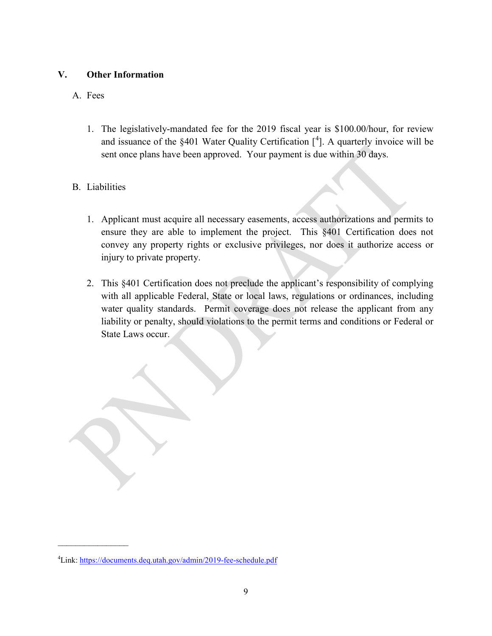### V. Other Information

### A. Fees

1. The legislatively-mandated fee for the 2019 fiscal year is \$100.00/hour, for review and issuance of the  $\S 401$  Water Quality Certification  $[4]$ . A quarterly invoice will be sent once plans have been approved. Your payment is due within 30 days.

## B. Liabilities

 $\mathcal{L}_\text{max}$ 

- 1. Applicant must acquire all necessary easements, access authorizations and permits to ensure they are able to implement the project. This §401 Certification does not convey any property rights or exclusive privileges, nor does it authorize access or injury to private property.
- 2. This §401 Certification does not preclude the applicant's responsibility of complying with all applicable Federal, State or local laws, regulations or ordinances, including water quality standards. Permit coverage does not release the applicant from any liability or penalty, should violations to the permit terms and conditions or Federal or State Laws occur.

<sup>&</sup>lt;sup>4</sup>Link: https://documents.deq.utah.gov/admin/2019-fee-schedule.pdf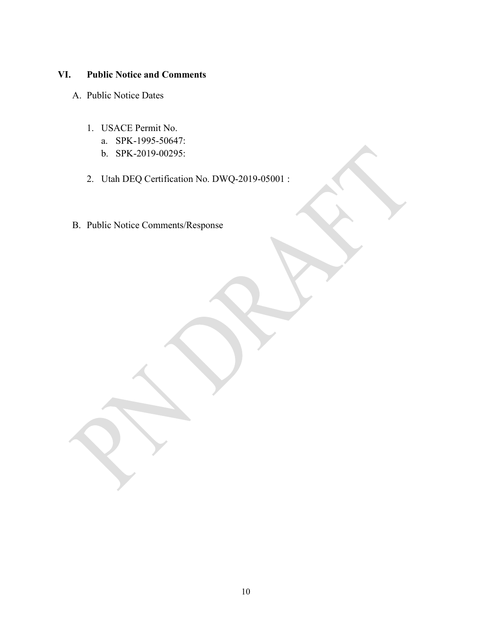## VI. Public Notice and Comments

- A. Public Notice Dates
	- 1. USACE Permit No.
		- a. SPK-1995-50647:
		- b. SPK-2019-00295:
	- 2. Utah DEQ Certification No. DWQ-2019-05001 :
- B. Public Notice Comments/Response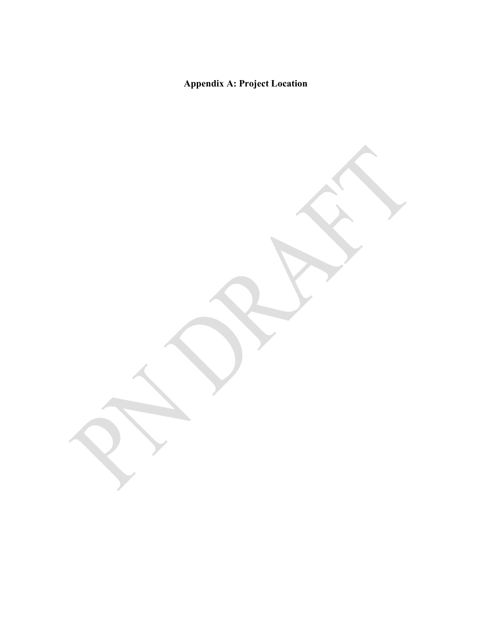# Appendix A: Project Location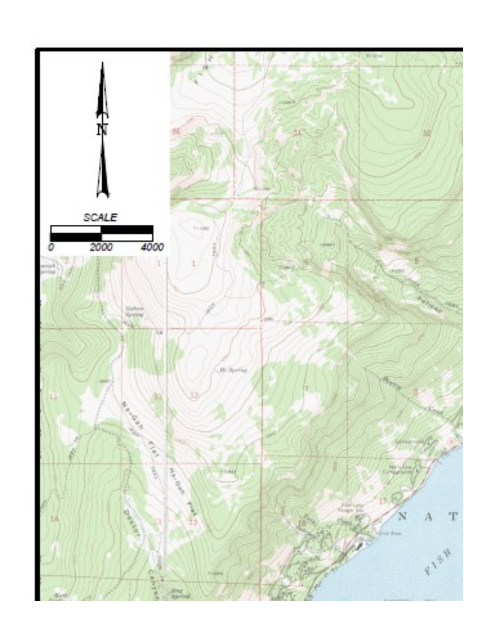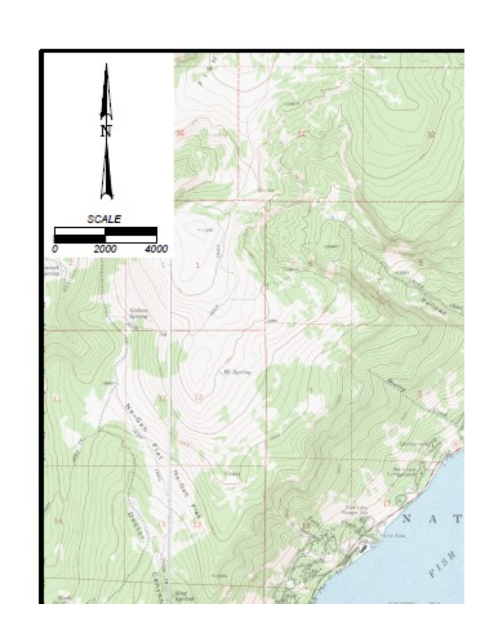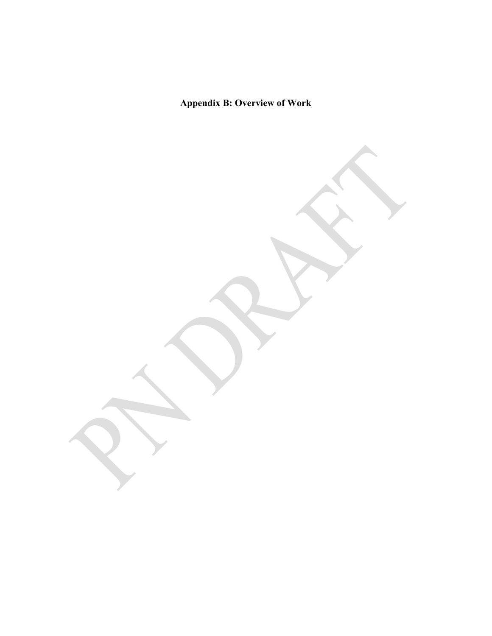Appendix B: Overview of Work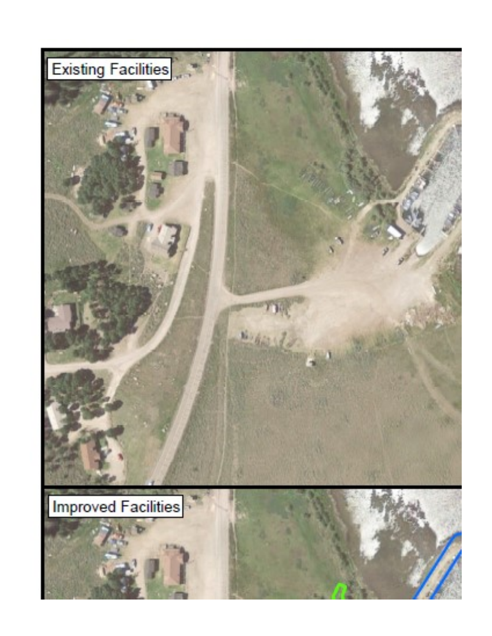